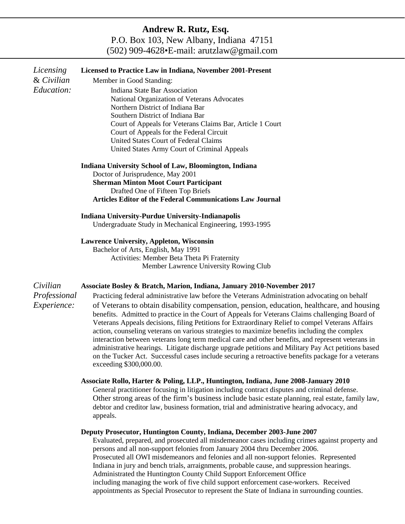### **Andrew R. Rutz, Esq.**

P.O. Box 103, New Albany, Indiana 47151 (502) 909-4628•E-mail: arutzlaw@gmail.com

| Licensing<br>& Civilian<br>Education:   | Licensed to Practice Law in Indiana, November 2001-Present<br>Member in Good Standing:<br>Indiana State Bar Association<br>National Organization of Veterans Advocates<br>Northern District of Indiana Bar<br>Southern District of Indiana Bar<br>Court of Appeals for Veterans Claims Bar, Article 1 Court<br>Court of Appeals for the Federal Circuit<br>United States Court of Federal Claims<br>United States Army Court of Criminal Appeals                                                                                                                                                                                                                                                                                                                                                                                                                                                                         |
|-----------------------------------------|--------------------------------------------------------------------------------------------------------------------------------------------------------------------------------------------------------------------------------------------------------------------------------------------------------------------------------------------------------------------------------------------------------------------------------------------------------------------------------------------------------------------------------------------------------------------------------------------------------------------------------------------------------------------------------------------------------------------------------------------------------------------------------------------------------------------------------------------------------------------------------------------------------------------------|
|                                         | Indiana University School of Law, Bloomington, Indiana<br>Doctor of Jurisprudence, May 2001<br><b>Sherman Minton Moot Court Participant</b><br>Drafted One of Fifteen Top Briefs<br><b>Articles Editor of the Federal Communications Law Journal</b>                                                                                                                                                                                                                                                                                                                                                                                                                                                                                                                                                                                                                                                                     |
|                                         | <b>Indiana University-Purdue University-Indianapolis</b><br>Undergraduate Study in Mechanical Engineering, 1993-1995                                                                                                                                                                                                                                                                                                                                                                                                                                                                                                                                                                                                                                                                                                                                                                                                     |
|                                         | <b>Lawrence University, Appleton, Wisconsin</b><br>Bachelor of Arts, English, May 1991<br>Activities: Member Beta Theta Pi Fraternity<br>Member Lawrence University Rowing Club                                                                                                                                                                                                                                                                                                                                                                                                                                                                                                                                                                                                                                                                                                                                          |
| Civilian<br>Professional<br>Experience: | Associate Bosley & Bratch, Marion, Indiana, January 2010-November 2017<br>Practicing federal administrative law before the Veterans Administration advocating on behalf<br>of Veterans to obtain disability compensation, pension, education, healthcare, and housing<br>benefits. Admitted to practice in the Court of Appeals for Veterans Claims challenging Board of<br>Veterans Appeals decisions, filing Petitions for Extraordinary Relief to compel Veterans Affairs<br>action, counseling veterans on various strategies to maximize benefits including the complex<br>interaction between veterans long term medical care and other benefits, and represent veterans in<br>administrative hearings. Litigate discharge upgrade petitions and Military Pay Act petitions based<br>on the Tucker Act. Successful cases include securing a retroactive benefits package for a veterans<br>exceeding \$300,000.00. |
|                                         | Associate Rollo, Harter & Poling, LLP., Huntington, Indiana, June 2008-January 2010<br>General practitioner focusing in litigation including contract disputes and criminal defense.<br>Other strong areas of the firm's business include basic estate planning, real estate, family law,<br>debtor and creditor law, business formation, trial and administrative hearing advocacy, and<br>appeals.                                                                                                                                                                                                                                                                                                                                                                                                                                                                                                                     |
|                                         | Deputy Prosecutor, Huntington County, Indiana, December 2003-June 2007                                                                                                                                                                                                                                                                                                                                                                                                                                                                                                                                                                                                                                                                                                                                                                                                                                                   |

Evaluated, prepared, and prosecuted all misdemeanor cases including crimes against property and persons and all non-support felonies from January 2004 thru December 2006. Prosecuted all OWI misdemeanors and felonies and all non-support felonies. Represented Indiana in jury and bench trials, arraignments, probable cause, and suppression hearings. Administrated the Huntington County Child Support Enforcement Office including managing the work of five child support enforcement case-workers. Received appointments as Special Prosecutor to represent the State of Indiana in surrounding counties.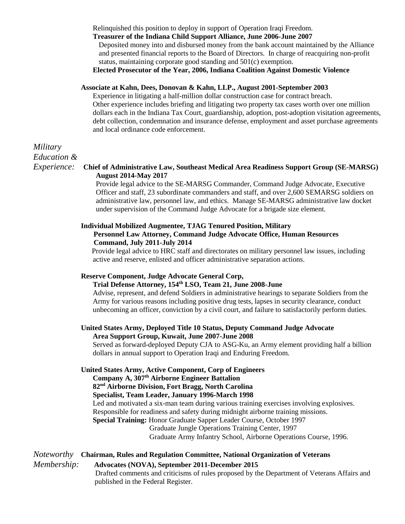Relinquished this position to deploy in support of Operation Iraqi Freedom.

#### **Treasurer of the Indiana Child Support Alliance, June 2006-June 2007**

Deposited money into and disbursed money from the bank account maintained by the Alliance and presented financial reports to the Board of Directors. In charge of reacquiring non-profit status, maintaining corporate good standing and 501(c) exemption.

**Elected Prosecutor of the Year, 2006, Indiana Coalition Against Domestic Violence**

#### **Associate at Kahn, Dees, Donovan & Kahn, LLP., August 2001-September 2003**

Experience in litigating a half-million dollar construction case for contract breach. Other experience includes briefing and litigating two property tax cases worth over one million dollars each in the Indiana Tax Court, guardianship, adoption, post-adoption visitation agreements, debt collection, condemnation and insurance defense, employment and asset purchase agreements and local ordinance code enforcement.

# *Military Education &*

#### *Experience:* **Chief of Administrative Law, Southeast Medical Area Readiness Support Group (SE-MARSG) August 2014-May 2017**

Provide legal advice to the SE-MARSG Commander, Command Judge Advocate, Executive Officer and staff, 23 subordinate commanders and staff, and over 2,600 SEMARSG soldiers on administrative law, personnel law, and ethics. Manage SE-MARSG administrative law docket under supervision of the Command Judge Advocate for a brigade size element.

#### **Individual Mobilized Augmentee, TJAG Tenured Position, Military**

#### **Personnel Law Attorney, Command Judge Advocate Office, Human Resources Command, July 2011-July 2014**

Provide legal advice to HRC staff and directorates on military personnel law issues, including active and reserve, enlisted and officer administrative separation actions.

#### **Reserve Component, Judge Advocate General Corp,**

#### **Trial Defense Attorney, 154th LSO, Team 21, June 2008-June**

Advise, represent, and defend Soldiers in administrative hearings to separate Soldiers from the Army for various reasons including positive drug tests, lapses in security clearance, conduct unbecoming an officer, conviction by a civil court, and failure to satisfactorily perform duties.

#### **United States Army, Deployed Title 10 Status, Deputy Command Judge Advocate Area Support Group, Kuwait, June 2007-June 2008**

Served as forward-deployed Deputy CJA to ASG-Ku, an Army element providing half a billion dollars in annual support to Operation Iraqi and Enduring Freedom.

#### **United States Army, Active Component, Corp of Engineers**

**Company A, 307th Airborne Engineer Battalion**

**82nd Airborne Division, Fort Bragg, North Carolina**

#### **Specialist, Team Leader, January 1996-March 1998**

Led and motivated a six-man team during various training exercises involving explosives. Responsible for readiness and safety during midnight airborne training missions.

**Special Training:** Honor Graduate Sapper Leader Course, October 1997

Graduate Jungle Operations Training Center, 1997 Graduate Army Infantry School, Airborne Operations Course, 1996.

## *Noteworthy* **Chairman, Rules and Regulation Committee, National Organization of Veterans**

## *Membership:* **Advocates (NOVA), September 2011-December 2015**

Drafted comments and criticisms of rules proposed by the Department of Veterans Affairs and published in the Federal Register.